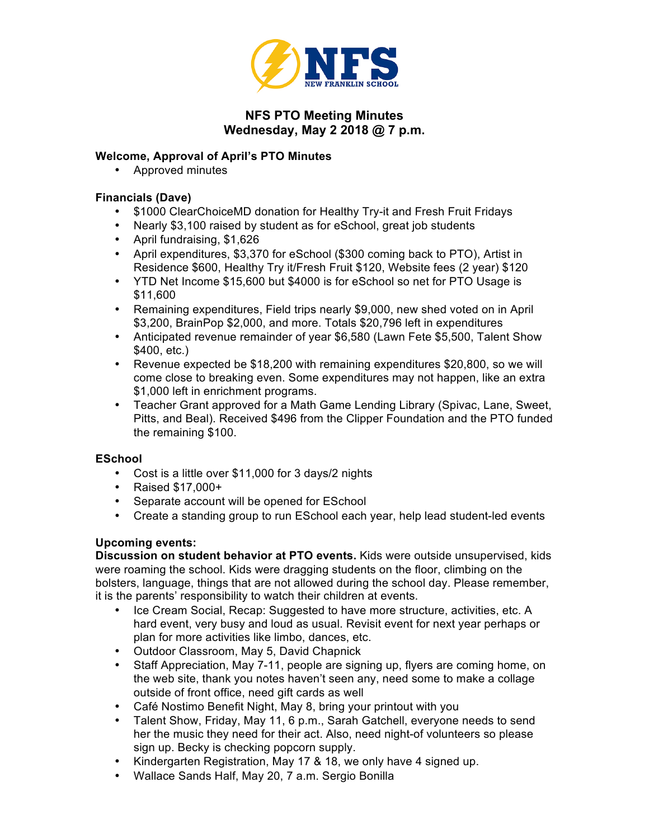

# **NFS PTO Meeting Minutes Wednesday, May 2 2018 @ 7 p.m.**

### **Welcome, Approval of April's PTO Minutes**

• Approved minutes

## **Financials (Dave)**

- \$1000 ClearChoiceMD donation for Healthy Try-it and Fresh Fruit Fridays
- Nearly \$3,100 raised by student as for eSchool, great job students
- April fundraising, \$1,626
- April expenditures, \$3,370 for eSchool (\$300 coming back to PTO), Artist in Residence \$600, Healthy Try it/Fresh Fruit \$120, Website fees (2 year) \$120
- YTD Net Income \$15,600 but \$4000 is for eSchool so net for PTO Usage is \$11,600
- Remaining expenditures, Field trips nearly \$9,000, new shed voted on in April \$3,200, BrainPop \$2,000, and more. Totals \$20,796 left in expenditures
- Anticipated revenue remainder of year \$6,580 (Lawn Fete \$5,500, Talent Show \$400, etc.)
- Revenue expected be \$18,200 with remaining expenditures \$20,800, so we will come close to breaking even. Some expenditures may not happen, like an extra \$1,000 left in enrichment programs.
- Teacher Grant approved for a Math Game Lending Library (Spivac, Lane, Sweet, Pitts, and Beal). Received \$496 from the Clipper Foundation and the PTO funded the remaining \$100.

### **ESchool**

- Cost is a little over \$11,000 for 3 days/2 nights
- Raised \$17,000+
- Separate account will be opened for ESchool
- Create a standing group to run ESchool each year, help lead student-led events

### **Upcoming events:**

**Discussion on student behavior at PTO events.** Kids were outside unsupervised, kids were roaming the school. Kids were dragging students on the floor, climbing on the bolsters, language, things that are not allowed during the school day. Please remember, it is the parents' responsibility to watch their children at events.

- Ice Cream Social, Recap: Suggested to have more structure, activities, etc. A hard event, very busy and loud as usual. Revisit event for next year perhaps or plan for more activities like limbo, dances, etc.
- Outdoor Classroom, May 5, David Chapnick
- Staff Appreciation, May 7-11, people are signing up, flyers are coming home, on the web site, thank you notes haven't seen any, need some to make a collage outside of front office, need gift cards as well
- Café Nostimo Benefit Night, May 8, bring your printout with you
- Talent Show, Friday, May 11, 6 p.m., Sarah Gatchell, everyone needs to send her the music they need for their act. Also, need night-of volunteers so please sign up. Becky is checking popcorn supply.
- Kindergarten Registration, May 17 & 18, we only have 4 signed up.
- Wallace Sands Half, May 20, 7 a.m. Sergio Bonilla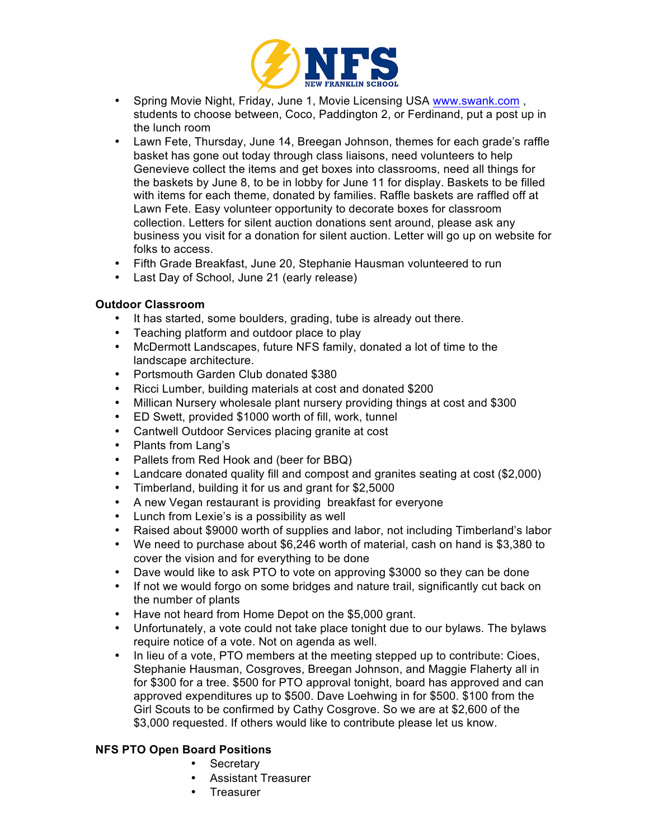

- Spring Movie Night, Friday, June 1, Movie Licensing USA www.swank.com , students to choose between, Coco, Paddington 2, or Ferdinand, put a post up in the lunch room
- Lawn Fete, Thursday, June 14, Breegan Johnson, themes for each grade's raffle basket has gone out today through class liaisons, need volunteers to help Genevieve collect the items and get boxes into classrooms, need all things for the baskets by June 8, to be in lobby for June 11 for display. Baskets to be filled with items for each theme, donated by families. Raffle baskets are raffled off at Lawn Fete. Easy volunteer opportunity to decorate boxes for classroom collection. Letters for silent auction donations sent around, please ask any business you visit for a donation for silent auction. Letter will go up on website for folks to access.
- Fifth Grade Breakfast, June 20, Stephanie Hausman volunteered to run
- Last Day of School, June 21 (early release)

### **Outdoor Classroom**

- It has started, some boulders, grading, tube is already out there.
- Teaching platform and outdoor place to play
- McDermott Landscapes, future NFS family, donated a lot of time to the landscape architecture.
- Portsmouth Garden Club donated \$380
- Ricci Lumber, building materials at cost and donated \$200
- Millican Nursery wholesale plant nursery providing things at cost and \$300
- ED Swett, provided \$1000 worth of fill, work, tunnel
- Cantwell Outdoor Services placing granite at cost
- Plants from Lang's
- Pallets from Red Hook and (beer for BBQ)
- Landcare donated quality fill and compost and granites seating at cost (\$2,000)
- Timberland, building it for us and grant for \$2,5000
- A new Vegan restaurant is providing breakfast for everyone
- Lunch from Lexie's is a possibility as well
- Raised about \$9000 worth of supplies and labor, not including Timberland's labor
- We need to purchase about \$6,246 worth of material, cash on hand is \$3,380 to cover the vision and for everything to be done
- Dave would like to ask PTO to vote on approving \$3000 so they can be done
- If not we would forgo on some bridges and nature trail, significantly cut back on the number of plants
- Have not heard from Home Depot on the \$5,000 grant.
- Unfortunately, a vote could not take place tonight due to our bylaws. The bylaws require notice of a vote. Not on agenda as well.
- In lieu of a vote, PTO members at the meeting stepped up to contribute: Cioes, Stephanie Hausman, Cosgroves, Breegan Johnson, and Maggie Flaherty all in for \$300 for a tree. \$500 for PTO approval tonight, board has approved and can approved expenditures up to \$500. Dave Loehwing in for \$500. \$100 from the Girl Scouts to be confirmed by Cathy Cosgrove. So we are at \$2,600 of the \$3,000 requested. If others would like to contribute please let us know.

#### **NFS PTO Open Board Positions**

- **Secretary**
- Assistant Treasurer
- Treasurer